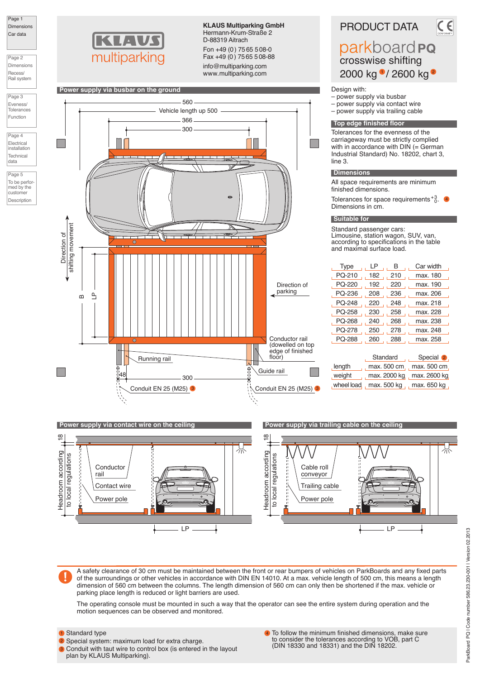

Page 2 Dimensions Recess/ Rail system





Page 4 Electrical installation **Technica** data

Page 5 To be performed by the customer Description



**KLAUS Multiparking GmbH** Hermann-Krum-Straße 2 D-88319 Aitrach

Fon +49 (0) 75 65 508-0 Fax +49 (0) 75 65 508-88

info@multiparking.com www.multiparking.com



PRODUCT DATA parkboard **PQ** crosswise shifting 2000 kg <sup>0</sup>/ 2600 kg <sup>2</sup>

Design with:

- power supply via busbar<br>– power supply via contact – power supply via contact wire
- power supply via trailing cable

#### **Top edge finished floor**

Tolerances for the evenness of the carriageway must be strictly complied with in accordance with DIN (= German Industrial Standard) No. 18202, chart 3, line 3.

#### **Dimensions**

All space requirements are minimum finished dimensions.

Tolerances for space requirements  ${}^{+3}$ . Dimensions in cm.

4

#### **Suitable for**

Standard passenger cars: Limousine, station wagon, SUV, van, according to specifications in the table and maximal surface load.

| Type       | LP                         | B            | Car width            |  |
|------------|----------------------------|--------------|----------------------|--|
| PQ-210     | 182                        | 210          | max. 180             |  |
| PQ-220     | 192                        | 220          | max. 190             |  |
| PQ-236     | 208                        | 236          | max. 206             |  |
| PQ-248     | 220                        | 248          | max. 218             |  |
| PQ-258     | 230                        | 258          | max. 228             |  |
| PQ-268     | 240                        | 268          | max. 238             |  |
| PQ-278     | 250                        | 278          | max. 248             |  |
| PQ-288     | 260                        | 288          | max. 258             |  |
|            |                            | Standard     | Special <sup>2</sup> |  |
| length     |                            | max. 500 cm  | max. 500 cm          |  |
| , weight   |                            | max. 2000 kg | max. 2600 kg         |  |
| wheel load | max. 500 kg<br>max. 650 kg |              |                      |  |
|            |                            |              |                      |  |



A safety clearance of 30 cm must be maintained between the front or rear bumpers of vehicles on ParkBoards and any fixed parts of the surroundings or other vehicles in accordance with DIN EN 14010. At a max. vehicle length of 500 cm, this means a length dimension of 560 cm between the columns. The length dimension of 560 cm can only then be shortened if the max. vehicle or parking place length is reduced or light barriers are used.

The operating console must be mounted in such a way that the operator can see the entire system during operation and the motion sequences can be observed and monitored.

### **1** Standard type

- 2 Special system: maximum load for extra charge.
- **3** Conduit with taut wire to control box (is entered in the layout plan by KLAUS Multiparking).
- To follow the minimum finished dimensions, make sure to consider the tolerances according to VOB, part C (DIN 18330 and 18331) and the DIN 18202. 4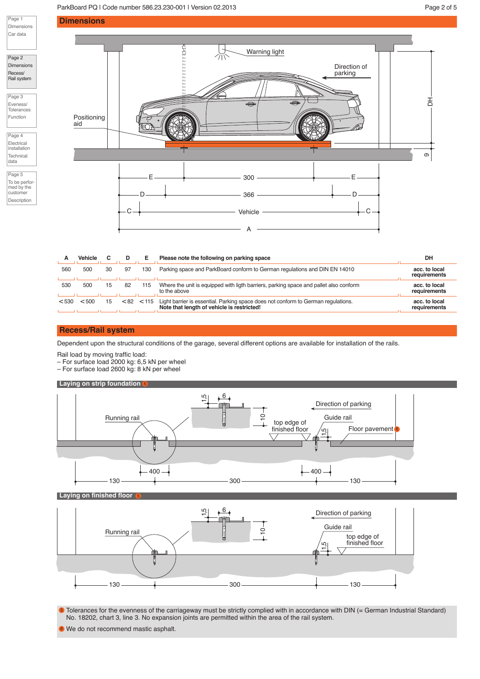## ParkBoard PQ | Code number 586.23.230-001 | Version 02.2013 | No. 2019 | Page 2 of 5



Page 1

Page 4 Electrical installation Technical

data

Page 5 To be performed by the customer Description



|       | <b>Vehicle</b> |    | D  |                | Please note the following on parking space                                                                                      | DH                            |
|-------|----------------|----|----|----------------|---------------------------------------------------------------------------------------------------------------------------------|-------------------------------|
| 560   | 500            | 30 | 97 | 130            | Parking space and ParkBoard conform to German regulations and DIN EN 14010                                                      | acc. to local<br>requirements |
| 530   | 500            |    | 82 | 115            | Where the unit is equipped with ligth barriers, parking space and pallet also conform<br>to the above                           | acc. to local<br>requirements |
| < 530 | < 500          |    |    | $< 82$ $< 115$ | Light barrier is essential. Parking space does not conform to German regulations.<br>Note that length of vehicle is restricted! | acc. to local<br>requirements |

## **Recess/Rail system**

Dependent upon the structural conditions of the garage, several different options are available for installation of the rails.

Rail load by moving traffic load:

– For surface load 2000 kg: 6,5 kN per wheel

– For surface load 2600 kg: 8 kN per wheel

#### **Laying on strip foundation** 5



### **Laying on finished floor**

5



• Tolerances for the evenness of the carriageway must be strictly complied with in accordance with DIN (= German Industrial Standard) No. 18202, chart 3, line 3. No expansion joints are permitted within the area of the rail system.

We do not recommend mastic asphalt. 6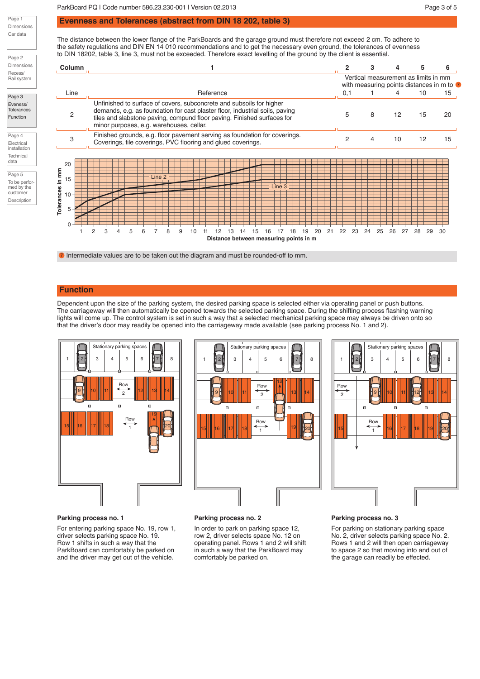ParkBoard PQ | Code number 586.23.230-001 | Version 02.2013 Page 3 of 5

### **Evenness and Tolerances (abstract from DIN 18 202, table 3)**

The distance between the lower flange of the ParkBoards and the garage ground must therefore not exceed 2 cm. To adhere to the safety regulations and DIN EN 14 010 recommendations and to get the necessary even ground, the tolerances of evenness to DIN 18202, table 3, line 3, must not be exceeded. Therefore exact levelling of the ground by the client is essential.



**7** Intermediate values are to be taken out the diagram and must be rounded-off to mm.

## **Function**

Page 1 Dimensions Car data

Page 2 Dimensions Recess/ Rail system

Page 3 Eveness/ Tolerances Function

Page 4 Electrical installation **Technica** data Page 5 To be performed by the customer Description

> Dependent upon the size of the parking system, the desired parking space is selected either via operating panel or push buttons. The carriageway will then automatically be opened towards the selected parking space. During the shifting process flashing warning lights will come up. The control system is set in such a way that a selected mechanical parking space may always be driven onto so that the driver's door may readily be opened into the carriageway made available (see parking process No. 1 and 2).



# Stationary parking spaces 1 2 3 45 6 78 12 Row 9 11 10 11 11  $\overline{2}$ 13 || 14  $\blacksquare$  $\Box$  $\Box$ Row  $\overrightarrow{1}$  | ||19 15 ||| 16 ||| 17 ||| 18 || <u>18 || 18 || 19 || 19</u>20



#### **Parking process no. 1**

For entering parking space No. 19, row 1, driver selects parking space No. 19. Row 1 shifts in such a way that the ParkBoard can comfortably be parked on and the driver may get out of the vehicle.

#### **Parking process no. 2**

In order to park on parking space 12, row 2, driver selects space No. 12 on operating panel. Rows 1 and 2 will shift in such a way that the ParkBoard may comfortably be parked on.

#### **Parking process no. 3**

For parking on stationary parking space No. 2, driver selects parking space No. 2. Rows 1 and 2 will then open carriageway to space 2 so that moving into and out of the garage can readily be effected.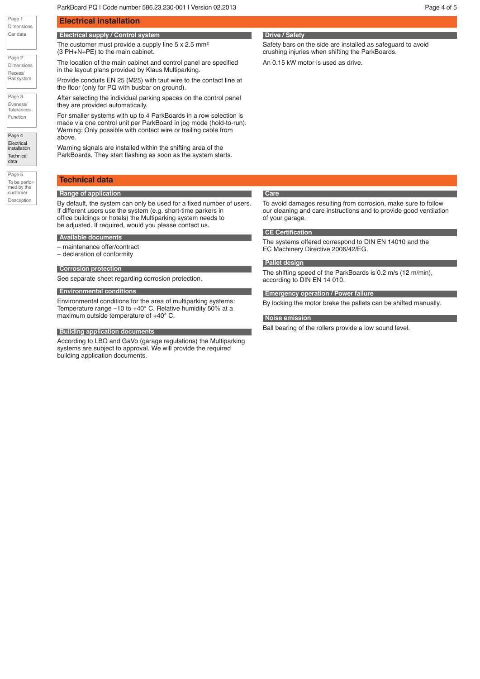ParkBoard PQ | Code number 586.23.230-001 | Version 02.2013 | New York Page 4 of 5

The location of the main cabinet and control panel are specified

Provide conduits EN 25 (M25) with taut wire to the contact line at

After selecting the individual parking spaces on the control panel

For smaller systems with up to 4 ParkBoards in a row selection is made via one control unit per ParkBoard in jog mode (hold-to-run). Warning: Only possible with contact wire or trailing cable from

The customer must provide a supply line  $5 \times 2.5$  mm<sup>2</sup>

in the layout plans provided by Klaus Multiparking.

the floor (only for PQ with busbar on ground).

Page 1 Dimensions Car data

| Page 2                 |
|------------------------|
| <b>Dimensions</b>      |
| Recess/<br>Rail system |

Page 3 Eveness/ **Tolerances** Function

Page 4 Electrical installation **Technical** data

Page 5 To be performed by the customer Description

above. Warning signals are installed within the shifting area of the ParkBoards. They start flashing as soon as the system starts.

## **Technical data Range of application**

By default, the system can only be used for a fixed number of users. If different users use the system (e.g. short-time parkers in office buildings or hotels) the Multiparking system needs to be adjusted. If required, would you please contact us.

## **Available documents**

– maintenance offer/contract

**Electrical installation**

(3 PH+N+PE) to the main cabinet.

**Electrical supply / Control system**

they are provided automatically.

– declaration of conformity

#### **Corrosion protection**

See separate sheet regarding corrosion protection.

#### **Environmental conditions**

Environmental conditions for the area of multiparking systems: Temperature range –10 to +40° C. Relative humidity 50% at a maximum outside temperature of +40° C.

#### **Building application documents**

According to LBO and GaVo (garage regulations) the Multiparking systems are subject to approval. We will provide the required building application documents.

Safety bars on the side are installed as safeguard to avoid crushing injuries when shifting the ParkBoards.

An 0.15 kW motor is used as drive.

## **Care**

To avoid damages resulting from corrosion, make sure to follow our cleaning and care instructions and to provide good ventilation of your garage.

#### **CE Certification**

The systems offered correspond to DIN EN 14010 and the EC Machinery Directive 2006/42/EG.

#### **Pallet design**

The shifting speed of the ParkBoards is 0.2 m/s (12 m/min), according to DIN EN 14 010.

**Emergency operation / Power failure**

By locking the motor brake the pallets can be shifted manually.

#### **Noise emission**

Ball bearing of the rollers provide a low sound level.